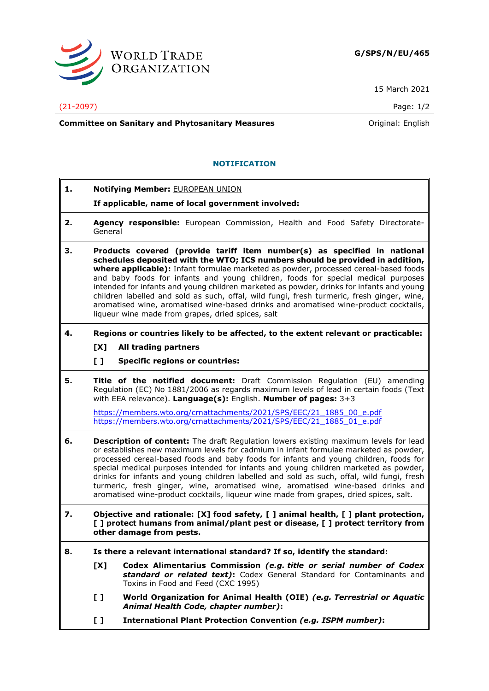

15 March 2021

**Committee on Sanitary and Phytosanitary Measures Committee on Sanitary and Phytosanitary Measures Original: English** 

## **NOTIFICATION**

- **1. Notifying Member:** EUROPEAN UNION
	- **If applicable, name of local government involved:**
- **2. Agency responsible:** European Commission, Health and Food Safety Directorate-General
- **3. Products covered (provide tariff item number(s) as specified in national schedules deposited with the WTO; ICS numbers should be provided in addition, where applicable):** Infant formulae marketed as powder, processed cereal-based foods and baby foods for infants and young children, foods for special medical purposes intended for infants and young children marketed as powder, drinks for infants and young children labelled and sold as such, offal, wild fungi, fresh turmeric, fresh ginger, wine, aromatised wine, aromatised wine-based drinks and aromatised wine-product cocktails, liqueur wine made from grapes, dried spices, salt
- **4. Regions or countries likely to be affected, to the extent relevant or practicable:**
	- **[X] All trading partners**
	- **[ ] Specific regions or countries:**
- **5. Title of the notified document:** Draft Commission Regulation (EU) amending Regulation (EC) No 1881/2006 as regards maximum levels of lead in certain foods (Text with EEA relevance). **Language(s):** English. **Number of pages:** 3+3

[https://members.wto.org/crnattachments/2021/SPS/EEC/21\\_1885\\_00\\_e.pdf](https://members.wto.org/crnattachments/2021/SPS/EEC/21_1885_00_e.pdf) [https://members.wto.org/crnattachments/2021/SPS/EEC/21\\_1885\\_01\\_e.pdf](https://members.wto.org/crnattachments/2021/SPS/EEC/21_1885_01_e.pdf)

- **6. Description of content:** The draft Regulation lowers existing maximum levels for lead or establishes new maximum levels for cadmium in infant formulae marketed as powder, processed cereal-based foods and baby foods for infants and young children, foods for special medical purposes intended for infants and young children marketed as powder, drinks for infants and young children labelled and sold as such, offal, wild fungi, fresh turmeric, fresh ginger, wine, aromatised wine, aromatised wine-based drinks and aromatised wine-product cocktails, liqueur wine made from grapes, dried spices, salt.
- **7. Objective and rationale: [X] food safety, [ ] animal health, [ ] plant protection, [ ] protect humans from animal/plant pest or disease, [ ] protect territory from other damage from pests.**
- **8. Is there a relevant international standard? If so, identify the standard:**
	- **[X] Codex Alimentarius Commission** *(e.g. title or serial number of Codex standard or related text)***:** Codex General Standard for Contaminants and Toxins in Food and Feed (CXC 1995)
	- **[ ] World Organization for Animal Health (OIE)** *(e.g. Terrestrial or Aquatic Animal Health Code, chapter number)***:**
	- **[ ] International Plant Protection Convention** *(e.g. ISPM number)***:**